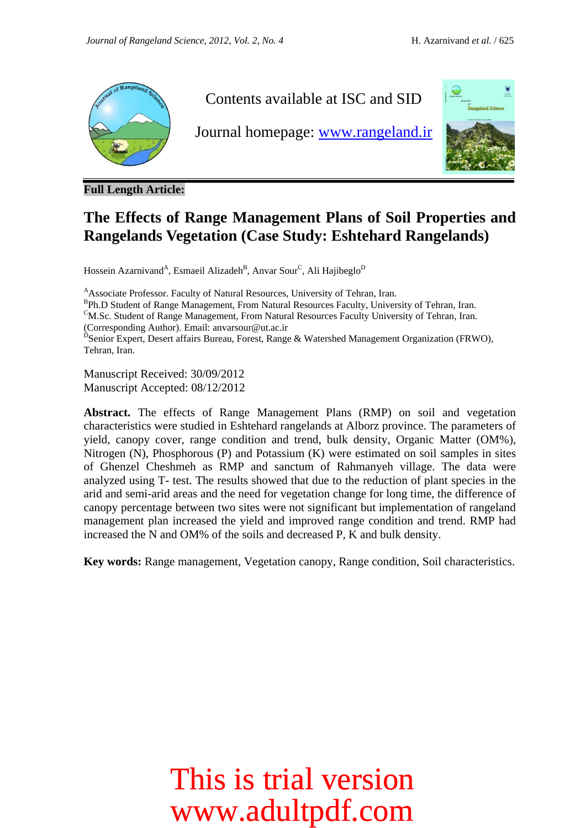

Contents available at ISC and SID

Journal homepage: [www.rangeland.ir](http://www.rangeland.ir/)



**Full Length Article:**

#### **The Effects of Range Management Plans of Soil Properties and Rangelands Vegetation (Case Study: Eshtehard Rangelands)**

Hossein Azarnivand<sup>A</sup>, Esmaeil Alizadeh<sup>B</sup>, Anvar Sour<sup>C</sup>, Ali Hajibeglo<sup>D</sup>

<sup>A</sup>Associate Professor. Faculty of Natural Resources, University of Tehran, Iran.

<sup>B</sup>Ph.D Student of Range Management, From Natural Resources Faculty, University of Tehran, Iran.

<sup>C</sup>M.Sc. Student of Range Management, From Natural Resources Faculty University of Tehran, Iran. (Corresponding Author). Email: anvarsour@ut.ac.ir

<sup>D</sup>Senior Expert, Desert affairs Bureau, Forest, Range & Watershed Management Organization (FRWO), Tehran, Iran.

Manuscript Received: 30/09/2012 Manuscript Accepted: 08/12/2012

**Abstract.** The effects of Range Management Plans (RMP) on soil and vegetation characteristics were studied in Eshtehard rangelands at Alborz province. The parameters of yield, canopy cover, range condition and trend, bulk density, Organic Matter (OM%), Nitrogen (N), Phosphorous (P) and Potassium (K) were estimated on soil samples in sites of Ghenzel Cheshmeh as RMP and sanctum of Rahmanyeh village. The data were analyzed using T- test. The results showed that due to the reduction of plant species in the arid and semi-arid areas and the need for vegetation change for long time, the difference of canopy percentage between two sites were not significant but implementation of rangeland management plan increased the yield and improved range condition and trend. RMP had increased the N and OM% of the soils and decreased P, K and bulk density.

**Key words:** Range management, Vegetation canopy, Range condition, Soil characteristics.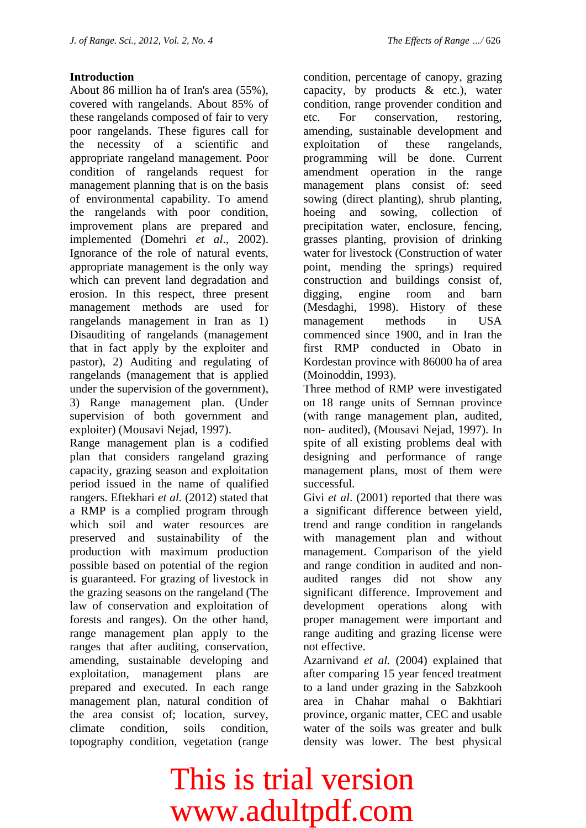#### **Introduction**

About 86 million ha of Iran's area (55%), covered with rangelands. About 85% of these rangelands composed of fair to very poor rangelands. These figures call for the necessity of a scientific and appropriate rangeland management. Poor condition of rangelands request for management planning that is on the basis of environmental capability. To amend the rangelands with poor condition, improvement plans are prepared and implemented (Domehri *et al*., 2002). Ignorance of the role of natural events, appropriate management is the only way which can prevent land degradation and erosion. In this respect, three present management methods are used for rangelands management in Iran as 1) Disauditing of rangelands (management that in fact apply by the exploiter and pastor), 2) Auditing and regulating of rangelands (management that is applied under the supervision of the government), 3) Range management plan. (Under supervision of both government and exploiter) (Mousavi Nejad, 1997).

Range management plan is a codified plan that considers rangeland grazing capacity, grazing season and exploitation period issued in the name of qualified rangers. Eftekhari *et al.* (2012) stated that a RMP is a complied program through which soil and water resources are preserved and sustainability of the production with maximum production possible based on potential of the region is guaranteed. For grazing of livestock in the grazing seasons on the rangeland (The law of conservation and exploitation of forests and ranges). On the other hand, range management plan apply to the ranges that after auditing, conservation, amending, sustainable developing and exploitation, management plans are prepared and executed. In each range management plan, natural condition of the area consist of; location, survey, climate condition, soils condition, topography condition, vegetation (range

condition, percentage of canopy, grazing capacity, by products & etc.), water condition, range provender condition and etc. For conservation, restoring, amending, sustainable development and exploitation of these rangelands, programming will be done. Current amendment operation in the range management plans consist of: seed sowing (direct planting), shrub planting, hoeing and sowing, collection of precipitation water, enclosure, fencing, grasses planting, provision of drinking water for livestock (Construction of water point, mending the springs) required construction and buildings consist of, digging, engine room and barn (Mesdaghi, 1998). History of these management methods in USA commenced since 1900, and in Iran the first RMP conducted in Obato in Kordestan province with 86000 ha of area (Moinoddin, 1993).

Three method of RMP were investigated on 18 range units of Semnan province (with range management plan, audited, non- audited), (Mousavi Nejad, 1997). In spite of all existing problems deal with designing and performance of range management plans, most of them were successful.

Givi *et al.* (2001) reported that there was a significant difference between yield, trend and range condition in rangelands with management plan and without management. Comparison of the yield and range condition in audited and nonaudited ranges did not show any significant difference. Improvement and development operations along with proper management were important and range auditing and grazing license were not effective.

Azarnivand *et al.* (2004) explained that after comparing 15 year fenced treatment to a land under grazing in the Sabzkooh area in Chahar mahal o Bakhtiari province, organic matter, CEC and usable water of the soils was greater and bulk density was lower. The best physical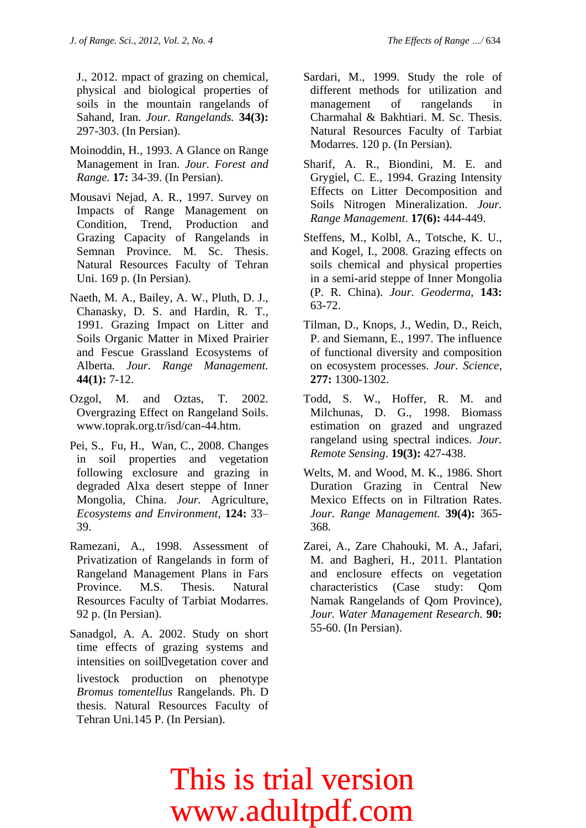J., 2012. mpact of grazing on chemical, physical and biological properties of soils in the mountain rangelands of Sahand, Iran. *Jour. Rangelands.* **34(3):**  297-303. (In Persian).

- Moinoddin, H., 1993. A Glance on Range Management in Iran. *Jour. Forest and Range.* **17:** 34-39. (In Persian).
- Mousavi Nejad, A. R., 1997. Survey on Impacts of Range Management on Condition, Trend, Production and Grazing Capacity of Rangelands in Semnan Province. M. Sc. Thesis. Natural Resources Faculty of Tehran Uni. 169 p. (In Persian).
- Naeth, M. A., Bailey, A. W., Pluth, D. J., Chanasky, D. S. and Hardin, R. T., 1991. Grazing Impact on Litter and Soils Organic Matter in Mixed Prairier and Fescue Grassland Ecosystems of Alberta*. Jour. Range Management.*  **44(1):** 7-12.
- Ozgol, M. and Oztas, T. 2002. Overgrazing Effect on Rangeland Soils. [www.toprak.org.tr/isd/can-44.htm.](http://www.toprak.org.tr/isd/can-44.htm)
- Pei, S., Fu, H., Wan, C., 2008. Changes in soil properties and vegetation following exclosure and grazing in degraded Alxa desert steppe of Inner Mongolia, China. *Jour.* Agriculture, *Ecosystems and Environment,* **124:** 33– 39.
- Ramezani, A., 1998. Assessment of Privatization of Rangelands in form of Rangeland Management Plans in Fars Province. M.S. Thesis. Natural Resources Faculty of Tarbiat Modarres. 92 p. (In Persian).
- Sanadgol, A. A. 2002. Study on short time effects of grazing systems and intensities on soil <u>D</u>vegetation cover and livestock production on phenotype *Bromus tomentellus* Rangelands. Ph. D thesis. Natural Resources Faculty of Tehran Uni.145 P. (In Persian).
- Sardari, M., 1999. Study the role of different methods for utilization and management of rangelands in Charmahal & Bakhtiari. M. Sc. Thesis. Natural Resources Faculty of Tarbiat Modarres. 120 p. (In Persian).
- Sharif, A. R., Biondini, M. E. and Grygiel, C. E., 1994. Grazing Intensity Effects on Litter Decomposition and Soils Nitrogen Mineralization. *Jour. Range Management*. **17(6):** 444-449.
- Steffens, M., Kolbl, A., Totsche, K. U., and Kogel, I., 2008. Grazing effects on soils chemical and physical properties in a semi-arid steppe of Inner Mongolia (P. R. China). *Jour. Geoderma*, **143:** 63-72.
- Tilman, D., Knops, J., Wedin, D., Reich, P. and Siemann, E., 1997. The influence of functional diversity and composition on ecosystem processes. *Jour. Science*, **277:** 1300-1302.
- Todd, S. W., Hoffer, R. M. and Milchunas, D. G., 1998. Biomass estimation on grazed and ungrazed rangeland using spectral indices. *Jour. Remote Sensing*. **19(3):** 427-438.
- Welts, M. and Wood, M. K., 1986. Short Duration Grazing in Central New Mexico Effects on in Filtration Rates. *Jour. Range Management.* **39(4):** 365- 368.
- Zarei, A., Zare Chahouki, M. A., Jafari, M. and Bagheri, H., 2011. Plantation and enclosure effects on vegetation characteristics (Case study: Qom Namak Rangelands of Qom Province), *Jour. Water Management Research.* **90:**  55-60. (In Persian).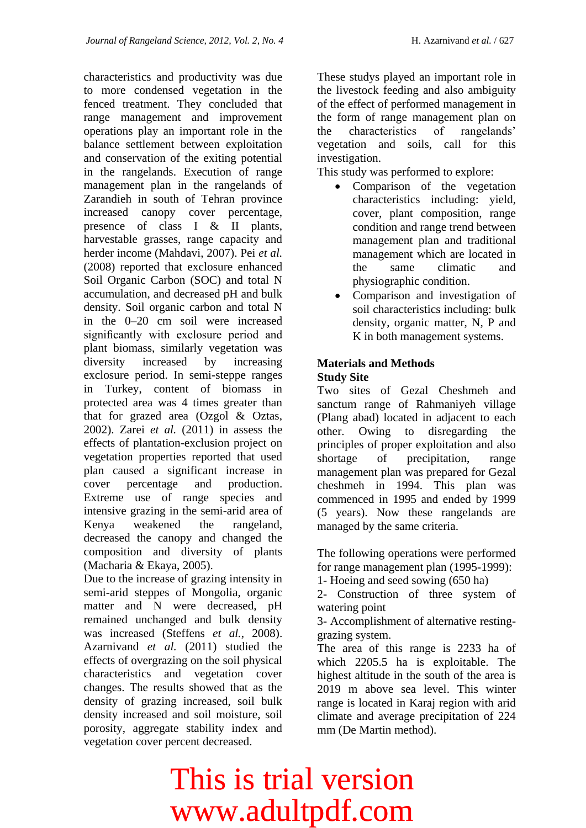characteristics and productivity was due to more condensed vegetation in the fenced treatment. They concluded that range management and improvement operations play an important role in the balance settlement between exploitation and conservation of the exiting potential in the rangelands. Execution of range management plan in the rangelands of Zarandieh in south of Tehran province increased canopy cover percentage, presence of class I & II plants, harvestable grasses, range capacity and herder income (Mahdavi, 2007). Pei *et al.* (2008) reported that exclosure enhanced Soil Organic Carbon (SOC) and total N accumulation, and decreased pH and bulk density. Soil organic carbon and total N in the 0–20 cm soil were increased significantly with exclosure period and plant biomass, similarly vegetation was diversity increased by increasing exclosure period. In semi-steppe ranges in Turkey, content of biomass in protected area was 4 times greater than that for grazed area (Ozgol & Oztas, 2002). Zarei *et al.* (2011) in assess the effects of plantation-exclusion project on vegetation properties reported that used plan caused a significant increase in cover percentage and production. Extreme use of range species and intensive grazing in the semi-arid area of Kenya weakened the rangeland, decreased the canopy and changed the composition and diversity of plants (Macharia & Ekaya, 2005).

Due to the increase of grazing intensity in semi-arid steppes of Mongolia, organic matter and N were decreased, pH remained unchanged and bulk density was increased (Steffens *et al.*, 2008). Azarnivand *et al.* (2011) studied the effects of overgrazing on the soil physical characteristics and vegetation cover changes. The results showed that as the density of grazing increased, soil bulk density increased and soil moisture, soil porosity, aggregate stability index and vegetation cover percent decreased.

These studys played an important role in the livestock feeding and also ambiguity of the effect of performed management in the form of range management plan on the characteristics of rangelands' vegetation and soils, call for this investigation.

This study was performed to explore:

- Comparison of the vegetation characteristics including: yield, cover, plant composition, range condition and range trend between management plan and traditional management which are located in the same climatic and physiographic condition.
- Comparison and investigation of soil characteristics including: bulk density, organic matter, N, P and K in both management systems.

#### **Materials and Methods Study Site**

Two sites of Gezal Cheshmeh and sanctum range of Rahmaniyeh village (Plang abad) located in adjacent to each other. Owing to disregarding the principles of proper exploitation and also shortage of precipitation, range management plan was prepared for Gezal cheshmeh in 1994. This plan was commenced in 1995 and ended by 1999 (5 years). Now these rangelands are managed by the same criteria.

The following operations were performed for range management plan (1995-1999):

1- Hoeing and seed sowing (650 ha)

2- Construction of three system of watering point

3- Accomplishment of alternative restinggrazing system.

The area of this range is 2233 ha of which 2205.5 ha is exploitable. The highest altitude in the south of the area is 2019 m above sea level. This winter range is located in Karaj region with arid climate and average precipitation of 224 mm (De Martin method).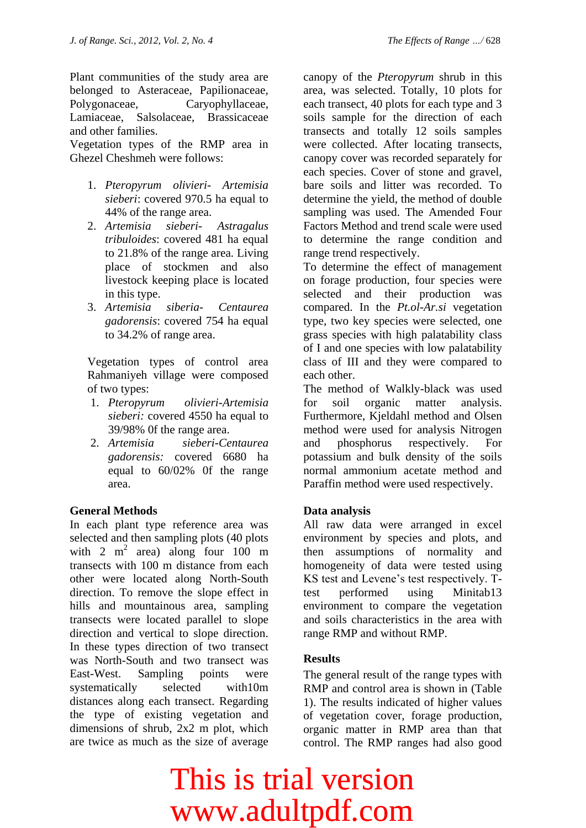Plant communities of the study area are belonged to Asteraceae, Papilionaceae, Polygonaceae, Caryophyllaceae, Lamiaceae, Salsolaceae, Brassicaceae and other families.

Vegetation types of the RMP area in Ghezel Cheshmeh were follows:

- 1. *Pteropyrum olivieri Artemisia sieberi*: covered 970.5 ha equal to 44% of the range area.
- 2. *Artemisia sieberi Astragalus tribuloides*: covered 481 ha equal to 21.8% of the range area. Living place of stockmen and also livestock keeping place is located in this type.
- 3. *Artemisia siberia Centaurea gadorensis*: covered 754 ha equal to 34.2% of range area.

Vegetation types of control area Rahmaniyeh village were composed of two types:

- 1. *Pteropyrum olivieri-Artemisia sieberi:* covered 4550 ha equal to 39/98% 0f the range area.
- 2. *Artemisia sieberi-Centaurea gadorensis:* covered 6680 ha equal to 60/02% 0f the range area.

#### **General Methods**

In each plant type reference area was selected and then sampling plots (40 plots with  $2 \text{ m}^2$  area) along four  $100 \text{ m}$ transects with 100 m distance from each other were located along North-South direction. To remove the slope effect in hills and mountainous area, sampling transects were located parallel to slope direction and vertical to slope direction. In these types direction of two transect was North-South and two transect was East-West. Sampling points were systematically selected with10m distances along each transect. Regarding the type of existing vegetation and dimensions of shrub, 2x2 m plot, which are twice as much as the size of average

canopy of the *Pteropyrum* shrub in this area, was selected. Totally, 10 plots for each transect, 40 plots for each type and 3 soils sample for the direction of each transects and totally 12 soils samples were collected. After locating transects, canopy cover was recorded separately for each species. Cover of stone and gravel, bare soils and litter was recorded. To determine the yield, the method of double sampling was used. The Amended Four

Factors Method and trend scale were used to determine the range condition and range trend respectively. To determine the effect of management

on forage production, four species were selected and their production was compared. In the *Pt.ol-Ar.si* vegetation type, two key species were selected, one grass species with high palatability class of I and one species with low palatability class of III and they were compared to each other.

The method of Walkly-black was used for soil organic matter analysis. Furthermore, Kjeldahl method and Olsen method were used for analysis Nitrogen and phosphorus respectively. For potassium and bulk density of the soils normal ammonium acetate method and Paraffin method were used respectively.

#### **Data analysis**

All raw data were arranged in excel environment by species and plots, and then assumptions of normality and homogeneity of data were tested using KS test and Levene's test respectively. Ttest performed using Minitab13 environment to compare the vegetation and soils characteristics in the area with range RMP and without RMP.

#### **Results**

The general result of the range types with RMP and control area is shown in (Table 1). The results indicated of higher values of vegetation cover, forage production, organic matter in RMP area than that control. The RMP ranges had also good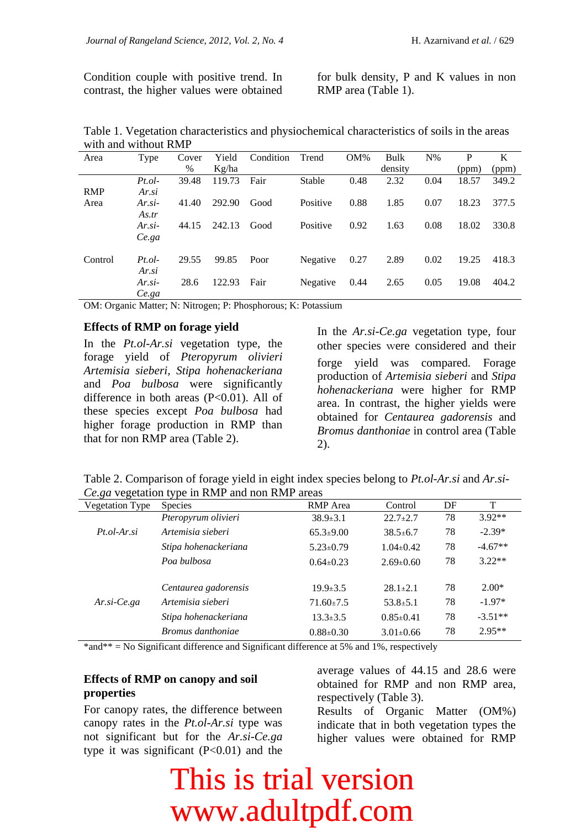Condition couple with positive trend. In contrast, the higher values were obtained

for bulk density, P and K values in non RMP area (Table 1).

Table 1. Vegetation characteristics and physiochemical characteristics of soils in the areas with and without RMP

| Area       | <b>Type</b> | Cover | Yield  | Condition | Trend    | OM%  | Bulk    | $N\%$ | P     | K     |
|------------|-------------|-------|--------|-----------|----------|------|---------|-------|-------|-------|
|            |             | $\%$  | Kg/ha  |           |          |      | density |       | (ppm) | (ppm) |
|            | Pt.         | 39.48 | 119.73 | Fair      | Stable   | 0.48 | 2.32    | 0.04  | 18.57 | 349.2 |
| <b>RMP</b> | Ar.si       |       |        |           |          |      |         |       |       |       |
| Area       | $Ar. si-$   | 41.40 | 292.90 | Good      | Positive | 0.88 | 1.85    | 0.07  | 18.23 | 377.5 |
|            | As.tr       |       |        |           |          |      |         |       |       |       |
|            | $Ar. si-$   | 44.15 | 242.13 | Good      | Positive | 0.92 | 1.63    | 0.08  | 18.02 | 330.8 |
|            | Ce.ga       |       |        |           |          |      |         |       |       |       |
| Control    | Pt.         | 29.55 | 99.85  |           |          |      | 2.89    | 0.02  | 19.25 | 418.3 |
|            |             |       |        | Poor      | Negative | 0.27 |         |       |       |       |
|            | Ar.si       |       |        |           |          |      |         |       |       |       |
|            | $Ar. si-$   | 28.6  | 122.93 | Fair      | Negative | 0.44 | 2.65    | 0.05  | 19.08 | 404.2 |
|            | Ce.ga       |       |        |           |          |      |         |       |       |       |

OM: Organic Matter; N: Nitrogen; P: Phosphorous; K: Potassium

#### **Effects of RMP on forage yield**

In the *Pt.ol-Ar.si* vegetation type, the forage yield of *Pteropyrum olivieri Artemisia sieberi, Stipa hohenackeriana*  and *Poa bulbosa* were significantly difference in both areas (P<0.01). All of these species except *Poa bulbosa* had higher forage production in RMP than that for non RMP area (Table 2).

In the *Ar.si-Ce.ga* vegetation type, four other species were considered and their forge yield was compared. Forage production of *Artemisia sieberi* and *Stipa hohenackeriana* were higher for RMP area. In contrast, the higher yields were obtained for *Centaurea gadorensis* and *Bromus danthoniae* in control area (Table 2).

|  | Table 2. Comparison of forage yield in eight index species belong to <i>Pt.ol-Ar.si</i> and <i>Ar.si</i> - |  |  |  |
|--|------------------------------------------------------------------------------------------------------------|--|--|--|
|  | <i>Ce.ga</i> vegetation type in RMP and non RMP areas                                                      |  |  |  |

| <b>Vegetation Type</b>   | <b>Species</b>       | <b>RMP</b> Area | Control         | DF | T         |
|--------------------------|----------------------|-----------------|-----------------|----|-----------|
|                          | Pteropyrum olivieri  | $38.9 \pm 3.1$  | $22.7 \pm 2.7$  | 78 | $3.92**$  |
| $Pt.$ <i>ol-Ar.si</i>    | Artemisia sieberi    | $65.3 \pm 9.00$ | $38.5 \pm 6.7$  | 78 | $-2.39*$  |
|                          | Stipa hohenackeriana | $5.23 \pm 0.79$ | $1.04 \pm 0.42$ | 78 | $-4.67**$ |
|                          | Poa bulbosa          | $0.64 \pm 0.23$ | $2.69 \pm 0.60$ | 78 | $3.22**$  |
|                          |                      |                 |                 |    |           |
|                          | Centaurea gadorensis | $19.9 \pm 3.5$  | $28.1 \pm 2.1$  | 78 | $2.00*$   |
| $Ar.\,si\text{-}Ce.\,ga$ | Artemisia sieberi    | $71.60 \pm 7.5$ | $53.8 \pm 5.1$  | 78 | $-1.97*$  |
|                          | Stipa hohenackeriana | $13.3 \pm 3.5$  | $0.85 \pm 0.41$ | 78 | $-3.51**$ |
|                          | Bromus danthoniae    | $0.88 \pm 0.30$ | $3.01 \pm 0.66$ | 78 | $2.95**$  |

\*and\*\* = No Significant difference and Significant difference at 5% and 1%, respectively

#### **Effects of RMP on canopy and soil properties**

For canopy rates, the difference between canopy rates in the *Pt.ol-Ar.si* type was not significant but for the *Ar.si-Ce.ga* type it was significant  $(P<0.01)$  and the

average values of 44.15 and 28.6 were obtained for RMP and non RMP area, respectively (Table 3).

Results of Organic Matter (OM%) indicate that in both vegetation types the higher values were obtained for RMP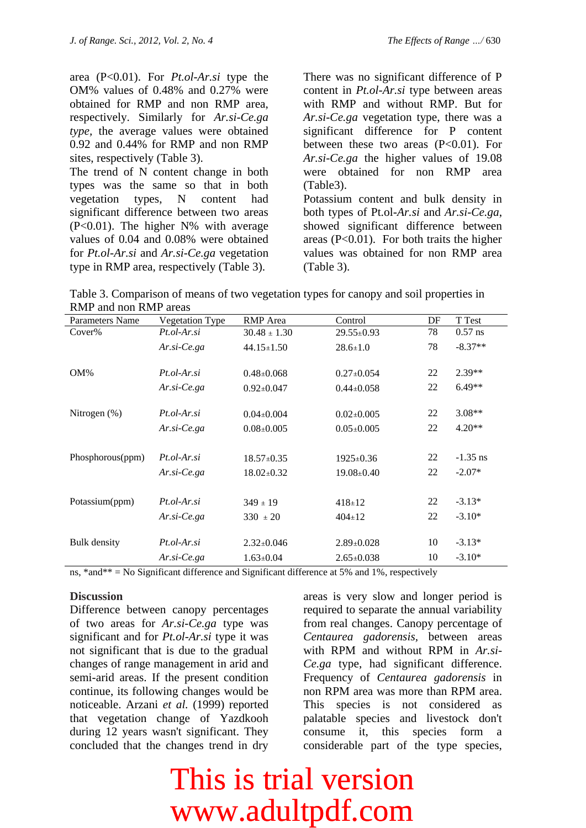area (P<0.01). For *Pt.ol-Ar.si* type the OM% values of 0.48% and 0.27% were obtained for RMP and non RMP area, respectively. Similarly for *Ar.si-Ce.ga type,* the average values were obtained 0.92 and 0.44% for RMP and non RMP sites, respectively (Table 3).

The trend of N content change in both types was the same so that in both vegetation types, N content had significant difference between two areas (P<0.01). The higher N% with average values of 0.04 and 0.08% were obtained for *Pt.ol-Ar.si* and *Ar.si-Ce.ga* vegetation type in RMP area, respectively (Table 3).

There was no significant difference of P content in *Pt.ol-Ar.si* type between areas with RMP and without RMP. But for *Ar.si-Ce.ga* vegetation type, there was a significant difference for P content between these two areas  $(P<0.01)$ . For *Ar.si-Ce.ga* the higher values of 19.08 were obtained for non RMP area (Table3). Potassium content and bulk density in both types of Pt.ol*-Ar.si* and *Ar.si-Ce.ga*, showed significant difference between areas  $(P<0.01)$ . For both traits the higher

values was obtained for non RMP area

Table 3. Comparison of means of two vegetation types for canopy and soil properties in RMP and non RMP areas

(Table 3).

| KWH and non-Kivit areas  |                                                |                                  |                 |            |  |  |  |
|--------------------------|------------------------------------------------|----------------------------------|-----------------|------------|--|--|--|
| Vegetation Type          | <b>RMP</b> Area                                | Control                          | DF              | T Test     |  |  |  |
| $Pt.$ <i>ol-Ar.si</i>    | $30.48 \pm 1.30$                               | $29.55 \pm 0.93$                 | 78              | $0.57$ ns  |  |  |  |
| $Ar.\,si\text{-}Ce.\,ga$ | $44.15 \pm 1.50$                               | $28.6 \pm 1.0$                   | 78              | $-8.37**$  |  |  |  |
| $Pt.$ <i>ol-Ar.si</i>    | $0.48 \pm 0.068$                               | $0.27 \pm 0.054$                 | 22              | $2.39**$   |  |  |  |
| $Ar.\,si\text{-}Ce.\,ga$ | $0.92 \pm 0.047$                               | $0.44 \pm 0.058$                 | 22              | $6.49**$   |  |  |  |
| $Pt.$ <i>ol-Ar.si</i>    | $0.04 \pm 0.004$                               | $0.02 \pm 0.005$                 | 22              | $3.08**$   |  |  |  |
| $Ar.\,si\text{-}Ce.\,ga$ | $0.08 \pm 0.005$                               | $0.05 \pm 0.005$                 | 22              | $4.20**$   |  |  |  |
|                          |                                                |                                  |                 | $-1.35$ ns |  |  |  |
| $Ar.\,si\text{-}Ce.\,ga$ | $18.02 \pm 0.32$                               | $19.08 \pm 0.40$                 | 22              | $-2.07*$   |  |  |  |
|                          |                                                |                                  |                 |            |  |  |  |
|                          |                                                | $418 \pm 12$                     |                 | $-3.13*$   |  |  |  |
| $Ar.\,si\text{-}Ce.\,ga$ | $330 \pm 20$                                   | $404 \pm 12$                     | 22              | $-3.10*$   |  |  |  |
| $Pt.$ <i>ol-Ar.si</i>    | $2.32 \pm 0.046$                               | $2.89 \pm 0.028$                 | 10              | $-3.13*$   |  |  |  |
| $Ar.\,si\text{-}Ce.\,ga$ | $1.63 \pm 0.04$                                | $2.65 \pm 0.038$                 | 10              | $-3.10*$   |  |  |  |
|                          | $Pt.$ <i>ol-Ar.si</i><br>$Pt.$ <i>ol-Ar.si</i> | $18.57 \pm 0.35$<br>$349 \pm 19$ | $1925 \pm 0.36$ | 22<br>22   |  |  |  |

ns, \*and\*\* = No Significant difference and Significant difference at 5% and 1%, respectively

#### **Discussion**

Difference between canopy percentages of two areas for *Ar.si-Ce.ga* type was significant and for *Pt.ol-Ar.si* type it was not significant that is due to the gradual changes of range management in arid and semi-arid areas. If the present condition continue, its following changes would be noticeable. Arzani *et al.* (1999) reported that vegetation change of Yazdkooh during 12 years wasn't significant. They concluded that the changes trend in dry areas is very slow and longer period is required to separate the annual variability from real changes. Canopy percentage of *Centaurea gadorensis,* between areas with RPM and without RPM in *Ar.si-Ce.ga* type, had significant difference. Frequency of *Centaurea gadorensis* in non RPM area was more than RPM area. This species is not considered as palatable species and livestock don't consume it, this species form a considerable part of the type species,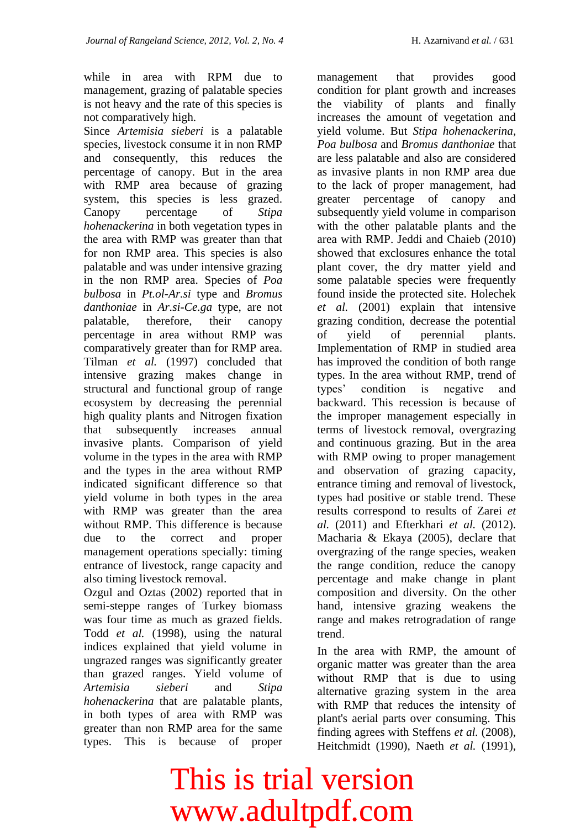while in area with RPM due to management, grazing of palatable species is not heavy and the rate of this species is not comparatively high.

Since *Artemisia sieberi* is a palatable species, livestock consume it in non RMP and consequently, this reduces the percentage of canopy. But in the area with RMP area because of grazing system, this species is less grazed. Canopy percentage of *Stipa hohenackerina* in both vegetation types in the area with RMP was greater than that for non RMP area. This species is also palatable and was under intensive grazing in the non RMP area. Species of *Poa bulbosa* in *Pt.ol-Ar.si* type and *Bromus danthoniae* in *Ar.si-Ce.ga* type, are not palatable, therefore, their canopy percentage in area without RMP was comparatively greater than for RMP area. Tilman *et al.* (1997) concluded that intensive grazing makes change in structural and functional group of range ecosystem by decreasing the perennial high quality plants and Nitrogen fixation that subsequently increases annual invasive plants. Comparison of yield volume in the types in the area with RMP and the types in the area without RMP indicated significant difference so that yield volume in both types in the area with RMP was greater than the area without RMP. This difference is because due to the correct and proper management operations specially: timing entrance of livestock, range capacity and also timing livestock removal.

Ozgul and Oztas (2002) reported that in semi-steppe ranges of Turkey biomass was four time as much as grazed fields. Todd *et al.* (1998), using the natural indices explained that yield volume in ungrazed ranges was significantly greater than grazed ranges. Yield volume of *Artemisia sieberi* and *Stipa hohenackerina* that are palatable plants, in both types of area with RMP was greater than non RMP area for the same types. This is because of proper

management that provides good condition for plant growth and increases the viability of plants and finally increases the amount of vegetation and yield volume. But *Stipa hohenackerina, Poa bulbosa* and *Bromus danthoniae* that are less palatable and also are considered as invasive plants in non RMP area due to the lack of proper management, had greater percentage of canopy and subsequently yield volume in comparison with the other palatable plants and the area with RMP. Jeddi and Chaieb (2010) showed that exclosures enhance the total plant cover, the dry matter yield and some palatable species were frequently found inside the protected site. Holechek *et al.* (2001) explain that intensive grazing condition, decrease the potential of yield of perennial plants. Implementation of RMP in studied area has improved the condition of both range types. In the area without RMP, trend of types' condition is negative and backward. This recession is because of the improper management especially in terms of livestock removal, overgrazing and continuous grazing. But in the area with RMP owing to proper management and observation of grazing capacity, entrance timing and removal of livestock, types had positive or stable trend. These results correspond to results of Zarei *et al.* (2011) and Efterkhari *et al.* (2012). Macharia & Ekaya (2005), declare that overgrazing of the range species, weaken the range condition, reduce the canopy percentage and make change in plant composition and diversity. On the other hand, intensive grazing weakens the range and makes retrogradation of range trend

In the area with RMP, the amount of organic matter was greater than the area without RMP that is due to using alternative grazing system in the area with RMP that reduces the intensity of plant's aerial parts over consuming. This finding agrees with Steffens *et al.* (2008), Heitchmidt (1990), Naeth *et al.* (1991),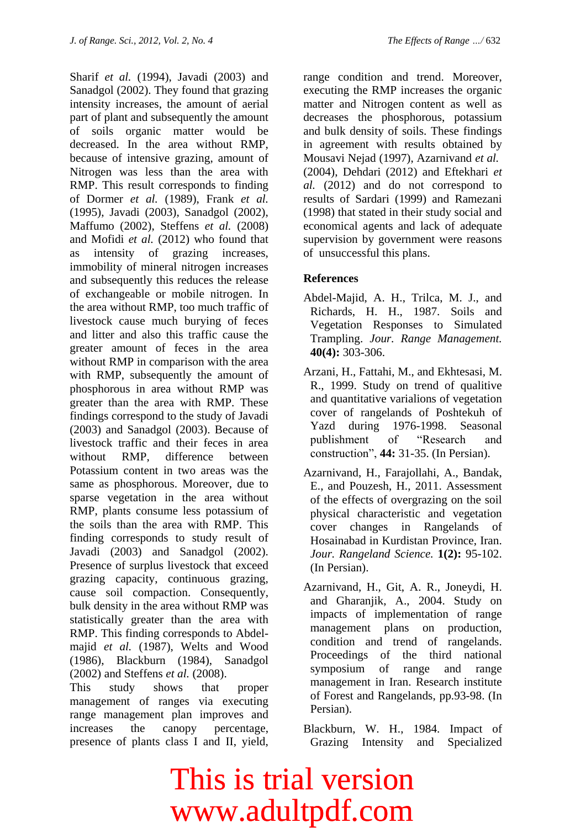Sharif *et al.* (1994), Javadi (2003) and Sanadgol (2002). They found that grazing intensity increases, the amount of aerial part of plant and subsequently the amount of soils organic matter would be decreased. In the area without RMP, because of intensive grazing, amount of Nitrogen was less than the area with RMP. This result corresponds to finding of Dormer *et al.* (1989), Frank *et al.* (1995), Javadi (2003), Sanadgol (2002), Maffumo (2002), Steffens *et al.* (2008) and Mofidi *et al.* (2012) who found that as intensity of grazing increases, immobility of mineral nitrogen increases and subsequently this reduces the release of exchangeable or mobile nitrogen. In the area without RMP, too much traffic of livestock cause much burying of feces and litter and also this traffic cause the greater amount of feces in the area without RMP in comparison with the area with RMP, subsequently the amount of phosphorous in area without RMP was greater than the area with RMP. These findings correspond to the study of Javadi (2003) and Sanadgol (2003). Because of livestock traffic and their feces in area without RMP, difference between Potassium content in two areas was the same as phosphorous. Moreover, due to sparse vegetation in the area without RMP, plants consume less potassium of the soils than the area with RMP. This finding corresponds to study result of Javadi (2003) and Sanadgol (2002). Presence of surplus livestock that exceed grazing capacity, continuous grazing, cause soil compaction. Consequently, bulk density in the area without RMP was statistically greater than the area with RMP. This finding corresponds to Abdelmajid *et al.* (1987), Welts and Wood (1986), Blackburn (1984), Sanadgol (2002) and Steffens *et al.* (2008).

This study shows that proper management of ranges via executing range management plan improves and increases the canopy percentage, presence of plants class I and II, yield,

range condition and trend. Moreover, executing the RMP increases the organic matter and Nitrogen content as well as decreases the phosphorous, potassium and bulk density of soils. These findings in agreement with results obtained by Mousavi Nejad (1997), Azarnivand *et al.* (2004), Dehdari (2012) and Eftekhari *et al.* (2012) and do not correspond to results of Sardari (1999) and Ramezani (1998) that stated in their study social and economical agents and lack of adequate supervision by government were reasons of unsuccessful this plans.

#### **References**

- Abdel-Majid, A. H., Trilca, M. J., and Richards, H. H., 1987. Soils and Vegetation Responses to Simulated Trampling. *Jour. Range Management.* **40(4):** 303-306.
- Arzani, H., Fattahi, M., and Ekhtesasi, M. R., 1999. Study on trend of qualitive and quantitative varialions of vegetation cover of rangelands of Poshtekuh of Yazd during 1976-1998. Seasonal publishment of "Research and construction", **44:** 31-35. (In Persian).
- Azarnivand, H., Farajollahi, A., Bandak, E., and Pouzesh, H., 2011. Assessment of the effects of overgrazing on the soil physical characteristic and vegetation cover changes in Rangelands of Hosainabad in Kurdistan Province, Iran. *Jour. Rangeland Science.* **1(2):** 95-102. (In Persian).
- Azarnivand, H., Git, A. R., Joneydi, H. and Gharanjik, A., 2004. Study on impacts of implementation of range management plans on production, condition and trend of rangelands. Proceedings of the third national symposium of range and range management in Iran. Research institute of Forest and Rangelands, pp.93-98. (In Persian).
- Blackburn, W. H., 1984. Impact of Grazing Intensity and Specialized